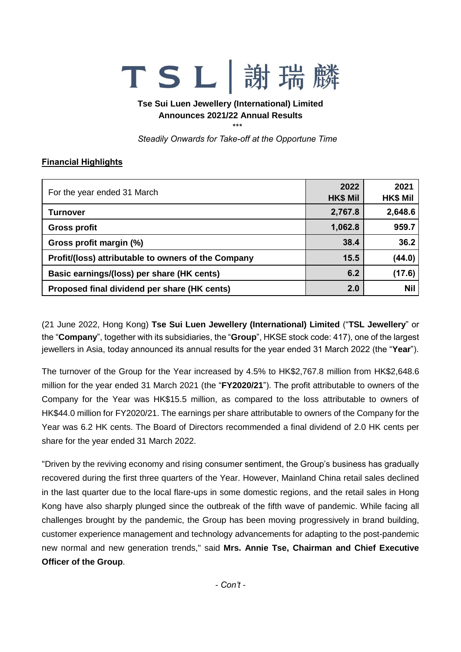## TSL謝瑞

**Tse Sui Luen Jewellery (International) Limited Announces 2021/22 Annual Results**

\*\*\*

*Steadily Onwards for Take-off at the Opportune Time*

## **Financial Highlights**

| For the year ended 31 March                         | 2022<br><b>HK\$ Mil</b> | 2021<br><b>HK\$ Mil</b> |
|-----------------------------------------------------|-------------------------|-------------------------|
| Turnover                                            | 2,767.8                 | 2,648.6                 |
| <b>Gross profit</b>                                 | 1,062.8                 | 959.7                   |
| Gross profit margin (%)                             | 38.4                    | 36.2                    |
| Profit/(loss) attributable to owners of the Company | 15.5                    | (44.0)                  |
| Basic earnings/(loss) per share (HK cents)          | 6.2                     | (17.6)                  |
| Proposed final dividend per share (HK cents)        | 2.0                     | <b>Nil</b>              |

(21 June 2022, Hong Kong) **Tse Sui Luen Jewellery (International) Limited** ("**TSL Jewellery**" or the "**Company**", together with its subsidiaries, the "**Group**", HKSE stock code: 417), one of the largest jewellers in Asia, today announced its annual results for the year ended 31 March 2022 (the "**Year**").

The turnover of the Group for the Year increased by 4.5% to HK\$2,767.8 million from HK\$2,648.6 million for the year ended 31 March 2021 (the "**FY2020/21**"). The profit attributable to owners of the Company for the Year was HK\$15.5 million, as compared to the loss attributable to owners of HK\$44.0 million for FY2020/21. The earnings per share attributable to owners of the Company for the Year was 6.2 HK cents. The Board of Directors recommended a final dividend of 2.0 HK cents per share for the year ended 31 March 2022.

"Driven by the reviving economy and rising consumer sentiment, the Group's business has gradually recovered during the first three quarters of the Year. However, Mainland China retail sales declined in the last quarter due to the local flare-ups in some domestic regions, and the retail sales in Hong Kong have also sharply plunged since the outbreak of the fifth wave of pandemic. While facing all challenges brought by the pandemic, the Group has been moving progressively in brand building, customer experience management and technology advancements for adapting to the post-pandemic new normal and new generation trends," said **Mrs. Annie Tse, Chairman and Chief Executive Officer of the Group**.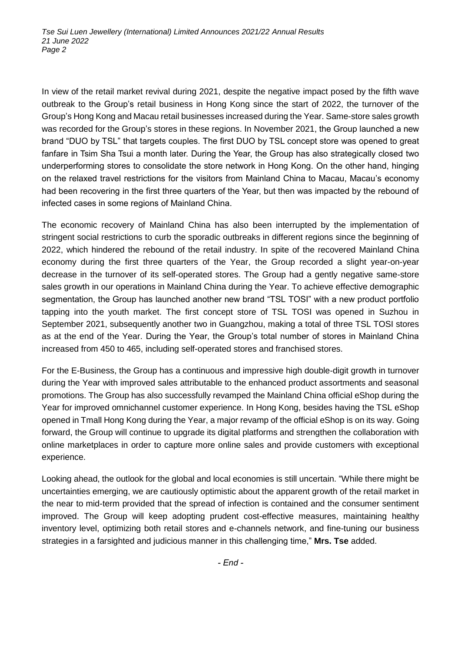In view of the retail market revival during 2021, despite the negative impact posed by the fifth wave outbreak to the Group's retail business in Hong Kong since the start of 2022, the turnover of the Group's Hong Kong and Macau retail businesses increased during the Year. Same-store sales growth was recorded for the Group's stores in these regions. In November 2021, the Group launched a new brand "DUO by TSL" that targets couples. The first DUO by TSL concept store was opened to great fanfare in Tsim Sha Tsui a month later. During the Year, the Group has also strategically closed two underperforming stores to consolidate the store network in Hong Kong. On the other hand, hinging on the relaxed travel restrictions for the visitors from Mainland China to Macau, Macau's economy had been recovering in the first three quarters of the Year, but then was impacted by the rebound of infected cases in some regions of Mainland China.

The economic recovery of Mainland China has also been interrupted by the implementation of stringent social restrictions to curb the sporadic outbreaks in different regions since the beginning of 2022, which hindered the rebound of the retail industry. In spite of the recovered Mainland China economy during the first three quarters of the Year, the Group recorded a slight year-on-year decrease in the turnover of its self-operated stores. The Group had a gently negative same-store sales growth in our operations in Mainland China during the Year. To achieve effective demographic segmentation, the Group has launched another new brand "TSL TOSI" with a new product portfolio tapping into the youth market. The first concept store of TSL TOSI was opened in Suzhou in September 2021, subsequently another two in Guangzhou, making a total of three TSL TOSI stores as at the end of the Year. During the Year, the Group's total number of stores in Mainland China increased from 450 to 465, including self-operated stores and franchised stores.

For the E-Business, the Group has a continuous and impressive high double-digit growth in turnover during the Year with improved sales attributable to the enhanced product assortments and seasonal promotions. The Group has also successfully revamped the Mainland China official eShop during the Year for improved omnichannel customer experience. In Hong Kong, besides having the TSL eShop opened in Tmall Hong Kong during the Year, a major revamp of the official eShop is on its way. Going forward, the Group will continue to upgrade its digital platforms and strengthen the collaboration with online marketplaces in order to capture more online sales and provide customers with exceptional experience.

Looking ahead, the outlook for the global and local economies is still uncertain. "While there might be uncertainties emerging, we are cautiously optimistic about the apparent growth of the retail market in the near to mid-term provided that the spread of infection is contained and the consumer sentiment improved. The Group will keep adopting prudent cost-effective measures, maintaining healthy inventory level, optimizing both retail stores and e-channels network, and fine-tuning our business strategies in a farsighted and judicious manner in this challenging time," **Mrs. Tse** added.

*- End -*